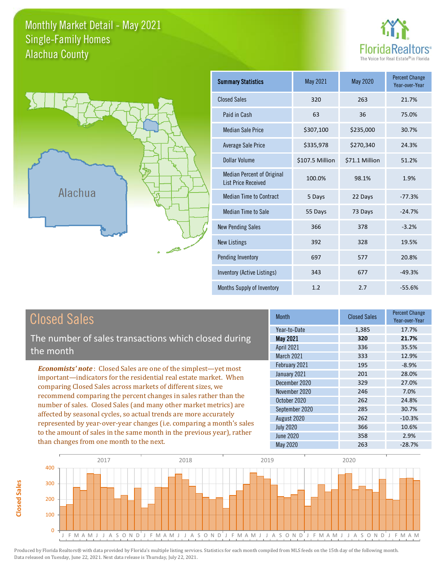### Monthly Market Detail - May 2021 Alachua County Single-Family Homes





| <b>Summary Statistics</b>                                       | May 2021        | <b>May 2020</b> | <b>Percent Change</b><br>Year-over-Year |
|-----------------------------------------------------------------|-----------------|-----------------|-----------------------------------------|
| <b>Closed Sales</b>                                             | 320             | 263             | 21.7%                                   |
| Paid in Cash                                                    | 63              | 36              | 75.0%                                   |
| <b>Median Sale Price</b>                                        | \$307,100       | \$235,000       | 30.7%                                   |
| Average Sale Price                                              | \$335,978       | \$270,340       | 24.3%                                   |
| Dollar Volume                                                   | \$107.5 Million | \$71.1 Million  | 51.2%                                   |
| <b>Median Percent of Original</b><br><b>List Price Received</b> | 100.0%          | 98.1%           | 1.9%                                    |
| <b>Median Time to Contract</b>                                  | 5 Days          | 22 Days         | $-77.3%$                                |
| <b>Median Time to Sale</b>                                      | 55 Days         | 73 Days         | $-24.7%$                                |
| <b>New Pending Sales</b>                                        | 366             | 378             | $-3.2%$                                 |
| <b>New Listings</b>                                             | 392             | 328             | 19.5%                                   |
| Pending Inventory                                               | 697             | 577             | 20.8%                                   |
| Inventory (Active Listings)                                     | 343             | 677             | $-49.3%$                                |
| Months Supply of Inventory                                      | 1.2             | 2.7             | $-55.6%$                                |

**Closed Sales**

**Closed Sales** 

The number of sales transactions which closed during the month

*Economists' note* : Closed Sales are one of the simplest—yet most important—indicators for the residential real estate market. When comparing Closed Sales across markets of different sizes, we recommend comparing the percent changes in sales rather than the number of sales. Closed Sales (and many other market metrics) are affected by seasonal cycles, so actual trends are more accurately represented by year-over-year changes (i.e. comparing a month's sales to the amount of sales in the same month in the previous year), rather than changes from one month to the next.

| <b>Month</b>      | <b>Closed Sales</b> | <b>Percent Change</b><br>Year-over-Year |
|-------------------|---------------------|-----------------------------------------|
| Year-to-Date      | 1,385               | 17.7%                                   |
| <b>May 2021</b>   | 320                 | 21.7%                                   |
| <b>April 2021</b> | 336                 | 35.5%                                   |
| March 2021        | 333                 | 12.9%                                   |
| February 2021     | 195                 | $-8.9%$                                 |
| January 2021      | 201                 | 28.0%                                   |
| December 2020     | 329                 | 27.0%                                   |
| November 2020     | 246                 | 7.0%                                    |
| October 2020      | 262                 | 24.8%                                   |
| September 2020    | 285                 | 30.7%                                   |
| August 2020       | 262                 | $-10.3%$                                |
| <b>July 2020</b>  | 366                 | 10.6%                                   |
| June 2020         | 358                 | 2.9%                                    |
| <b>May 2020</b>   | 263                 | $-28.7%$                                |

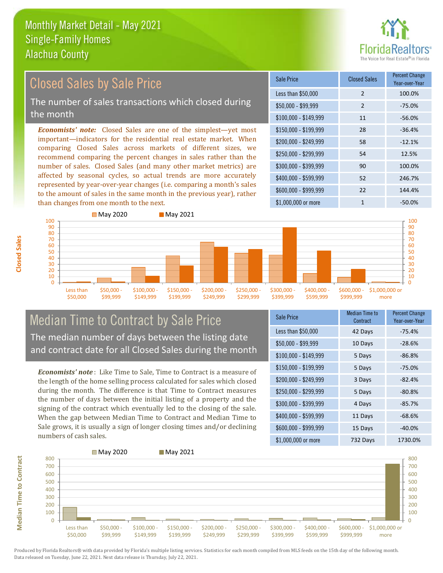

### $$100,000 - $149,999$  11 -56.0% Sale Price Closed Sales Percent Change Year-over-Year Less than \$50,000 2 100.0% \$50,000 - \$99,999 2 -75.0% \$150,000 - \$199,999 28 -36.4% \$200,000 - \$249,999 58 -12.1% \$400,000 - \$599,999 52 246.7% \$600,000 - \$999,999 22 144.4% *Economists' note:* Closed Sales are one of the simplest—yet most important—indicators for the residential real estate market. When comparing Closed Sales across markets of different sizes, we recommend comparing the percent changes in sales rather than the number of sales. Closed Sales (and many other market metrics) are affected by seasonal cycles, so actual trends are more accurately represented by year-over-year changes (i.e. comparing a month's sales to the amount of sales in the same month in the previous year), rather than changes from one month to the next. \$1,000,000 or more 1 -50.0% \$250,000 - \$299,999 54 12.5% \$300,000 - \$399,999 90 100.0% **May 2020** May 2021 Closed Sales by Sale Price The number of sales transactions which closed during the month



## Median Time to Contract by Sale Price The median number of days between the listing date and contract date for all Closed Sales during the month

*Economists' note* : Like Time to Sale, Time to Contract is a measure of the length of the home selling process calculated for sales which closed during the month. The difference is that Time to Contract measures the number of days between the initial listing of a property and the signing of the contract which eventually led to the closing of the sale. When the gap between Median Time to Contract and Median Time to Sale grows, it is usually a sign of longer closing times and/or declining numbers of cash sales.

| <b>Sale Price</b>     | <b>Median Time to</b><br>Contract | <b>Percent Change</b><br>Year-over-Year |
|-----------------------|-----------------------------------|-----------------------------------------|
| Less than \$50,000    | 42 Days                           | $-75.4%$                                |
| $$50,000 - $99,999$   | 10 Days                           | $-28.6%$                                |
| $$100,000 - $149,999$ | 5 Days                            | $-86.8%$                                |
| \$150,000 - \$199,999 | 5 Days                            | $-75.0%$                                |
| \$200,000 - \$249,999 | 3 Days                            | $-82.4%$                                |
| \$250,000 - \$299,999 | 5 Days                            | $-80.8%$                                |
| \$300,000 - \$399,999 | 4 Days                            | $-85.7%$                                |
| \$400,000 - \$599,999 | 11 Days                           | $-68.6%$                                |
| \$600,000 - \$999,999 | 15 Days                           | $-40.0%$                                |
| \$1,000,000 or more   | 732 Days                          | 1730.0%                                 |



Produced by Florida Realtors® with data provided by Florida's multiple listing services. Statistics for each month compiled from MLS feeds on the 15th day of the following month. Data released on Tuesday, June 22, 2021. Next data release is Thursday, July 22, 2021.

**Median Time to Contract**

**Median Time to Contract**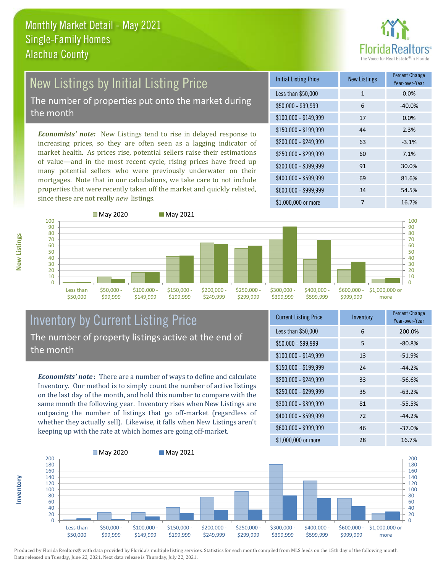

## New Listings by Initial Listing Price The number of properties put onto the market during

the month

*Economists' note:* New Listings tend to rise in delayed response to increasing prices, so they are often seen as a lagging indicator of market health. As prices rise, potential sellers raise their estimations of value—and in the most recent cycle, rising prices have freed up many potential sellers who were previously underwater on their mortgages. Note that in our calculations, we take care to not include properties that were recently taken off the market and quickly relisted, since these are not really *new* listings.

| <b>Initial Listing Price</b> | <b>New Listings</b> | <b>Percent Change</b><br>Year-over-Year |
|------------------------------|---------------------|-----------------------------------------|
| Less than \$50,000           | $\mathbf{1}$        | 0.0%                                    |
| $$50,000 - $99,999$          | 6                   | $-40.0%$                                |
| $$100,000 - $149,999$        | 17                  | 0.0%                                    |
| $$150,000 - $199,999$        | 44                  | 2.3%                                    |
| $$200,000 - $249,999$        | 63                  | $-3.1%$                                 |
| \$250,000 - \$299,999        | 60                  | 7.1%                                    |
| \$300,000 - \$399,999        | 91                  | 30.0%                                   |
| \$400,000 - \$599,999        | 69                  | 81.6%                                   |
| \$600,000 - \$999,999        | 34                  | 54.5%                                   |
| \$1,000,000 or more          | 7                   | 16.7%                                   |



### Inventory by Current Listing Price The number of property listings active at the end of the month

*Economists' note* : There are a number of ways to define and calculate Inventory. Our method is to simply count the number of active listings on the last day of the month, and hold this number to compare with the same month the following year. Inventory rises when New Listings are outpacing the number of listings that go off-market (regardless of whether they actually sell). Likewise, it falls when New Listings aren't keeping up with the rate at which homes are going off-market.

| <b>Current Listing Price</b> | Inventory | <b>Percent Change</b><br>Year-over-Year |
|------------------------------|-----------|-----------------------------------------|
| Less than \$50,000           | 6         | 200.0%                                  |
| $$50,000 - $99,999$          | 5         | $-80.8%$                                |
| $$100,000 - $149,999$        | 13        | $-51.9%$                                |
| $$150,000 - $199,999$        | 24        | $-44.2%$                                |
| \$200,000 - \$249,999        | 33        | $-56.6%$                                |
| \$250,000 - \$299,999        | 35        | $-63.2%$                                |
| \$300,000 - \$399,999        | 81        | $-55.5%$                                |
| $$400,000 - $599,999$        | 72        | $-44.2%$                                |
| \$600,000 - \$999,999        | 46        | $-37.0%$                                |
| \$1,000,000 or more          | 28        | 16.7%                                   |



Produced by Florida Realtors® with data provided by Florida's multiple listing services. Statistics for each month compiled from MLS feeds on the 15th day of the following month. Data released on Tuesday, June 22, 2021. Next data release is Thursday, July 22, 2021.

**Inventory**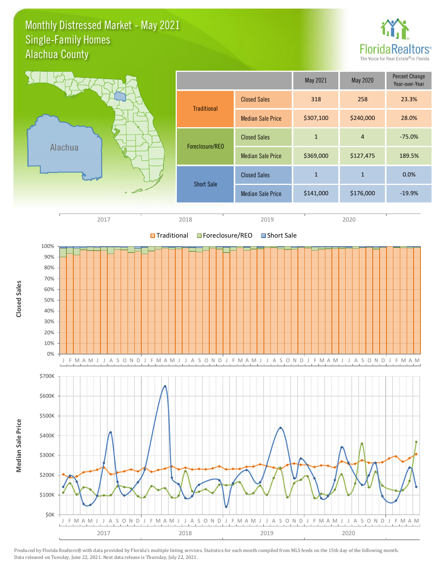### Monthly Distressed Market - May 2021 Alachua County Single-Family Homes



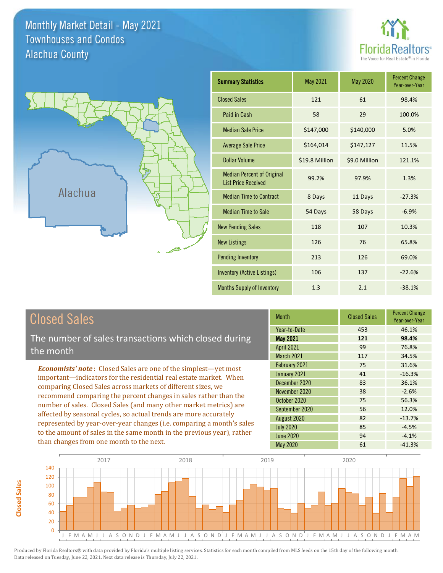Monthly Market Detail - May 2021 Alachua County Townhouses and Condos





| <b>Summary Statistics</b>                                       | May 2021       | May 2020      | <b>Percent Change</b><br>Year-over-Year |
|-----------------------------------------------------------------|----------------|---------------|-----------------------------------------|
| <b>Closed Sales</b>                                             | 121            | 61            | 98.4%                                   |
| Paid in Cash                                                    | 58             | 29            | 100.0%                                  |
| <b>Median Sale Price</b>                                        | \$147,000      | \$140,000     | 5.0%                                    |
| <b>Average Sale Price</b>                                       | \$164,014      | \$147,127     | 11.5%                                   |
| Dollar Volume                                                   | \$19.8 Million | \$9.0 Million | 121.1%                                  |
| <b>Median Percent of Original</b><br><b>List Price Received</b> | 99.2%          | 97.9%         | 1.3%                                    |
| <b>Median Time to Contract</b>                                  | 8 Days         | 11 Days       | $-27.3%$                                |
| <b>Median Time to Sale</b>                                      | 54 Days        | 58 Days       | $-6.9%$                                 |
| <b>New Pending Sales</b>                                        | 118            | 107           | 10.3%                                   |
| <b>New Listings</b>                                             | 126            | 76            | 65.8%                                   |
| Pending Inventory                                               | 213            | 126           | 69.0%                                   |
| <b>Inventory (Active Listings)</b>                              | 106            | 137           | $-22.6%$                                |
| <b>Months Supply of Inventory</b>                               | 1.3            | 2.1           | $-38.1%$                                |

| <b>Closed Sales</b> |
|---------------------|
|---------------------|

The number of sales transactions which closed during the month

*Economists' note* : Closed Sales are one of the simplest—yet most important—indicators for the residential real estate market. When comparing Closed Sales across markets of different sizes, we recommend comparing the percent changes in sales rather than the number of sales. Closed Sales (and many other market metrics) are affected by seasonal cycles, so actual trends are more accurately represented by year-over-year changes (i.e. comparing a month's sales to the amount of sales in the same month in the previous year), rather than changes from one month to the next.

| Month             | <b>Closed Sales</b> | <b>Percent Change</b><br>Year-over-Year |
|-------------------|---------------------|-----------------------------------------|
| Year-to-Date      | 453                 | 46.1%                                   |
| <b>May 2021</b>   | 121                 | 98.4%                                   |
| <b>April 2021</b> | 99                  | 76.8%                                   |
| March 2021        | 117                 | 34.5%                                   |
| February 2021     | 75                  | 31.6%                                   |
| January 2021      | 41                  | $-16.3%$                                |
| December 2020     | 83                  | 36.1%                                   |
| November 2020     | 38                  | $-2.6%$                                 |
| October 2020      | 75                  | 56.3%                                   |
| September 2020    | 56                  | 12.0%                                   |
| August 2020       | 82                  | $-13.7%$                                |
| <b>July 2020</b>  | 85                  | $-4.5%$                                 |
| <b>June 2020</b>  | 94                  | $-4.1%$                                 |
| May 2020          | 61                  | $-41.3%$                                |



**Closed Sales**

**Closed Sales**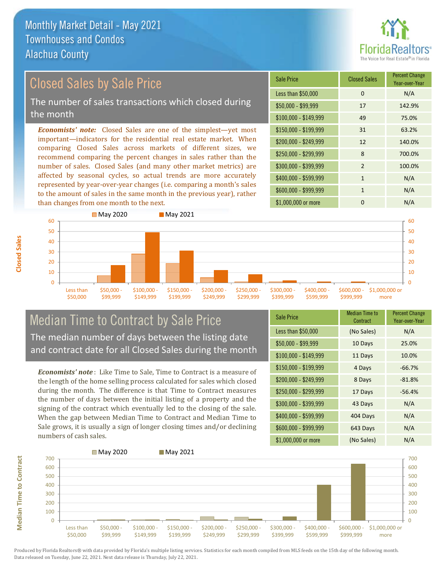

### \$100,000 - \$149,999 49 75.0% Sale Price Closed Sales Percent Change Year-over-Year Less than \$50,000 0 0 N/A \$50,000 - \$99,999 17 142.9% \$150,000 - \$199,999 31 63.2% \$200,000 - \$249,999 12 140.0% *Economists' note:* Closed Sales are one of the simplest—yet most important—indicators for the residential real estate market. When comparing Closed Sales across markets of different sizes, we recommend comparing the percent changes in sales rather than the number of sales. Closed Sales (and many other market metrics) are \$250,000 - \$299,999 8 700.0% \$300,000 - \$399,999 2 100.0% Closed Sales by Sale Price The number of sales transactions which closed during the month

\$200,000 - \$249,999

affected by seasonal cycles, so actual trends are more accurately represented by year-over-year changes (i.e. comparing a month's sales to the amount of sales in the same month in the previous year), rather than changes from one month to the next.



\$250,000 - \$299,999

\$300,000 - \$399,999

\$400,000 - \$599,999

## Median Time to Contract by Sale Price The median number of days between the listing date and contract date for all Closed Sales during the month

\$100,000 - \$149,999

\$150,000 - \$199,999

*Economists' note* : Like Time to Sale, Time to Contract is a measure of the length of the home selling process calculated for sales which closed during the month. The difference is that Time to Contract measures the number of days between the initial listing of a property and the signing of the contract which eventually led to the closing of the sale. When the gap between Median Time to Contract and Median Time to Sale grows, it is usually a sign of longer closing times and/or declining numbers of cash sales.

| <b>Sale Price</b>     | Median Time to<br>Contract | <b>Percent Change</b><br>Year-over-Year |
|-----------------------|----------------------------|-----------------------------------------|
| Less than \$50,000    | (No Sales)                 | N/A                                     |
| $$50,000 - $99,999$   | 10 Days                    | 25.0%                                   |
| $$100,000 - $149,999$ | 11 Days                    | 10.0%                                   |
| $$150,000 - $199,999$ | 4 Days                     | $-66.7%$                                |
| \$200,000 - \$249,999 | 8 Days                     | $-81.8%$                                |
| \$250,000 - \$299,999 | 17 Days                    | $-56.4%$                                |
| \$300,000 - \$399,999 | 43 Days                    | N/A                                     |
| \$400,000 - \$599,999 | 404 Days                   | N/A                                     |
| \$600,000 - \$999,999 | 643 Days                   | N/A                                     |
| \$1,000,000 or more   | (No Sales)                 | N/A                                     |

\$600,000 - \$999,999

\$1,000,000 or more



 $\Omega$ 10

**Closed Sales**

> Less than \$50,000

\$50,000 - \$99,999

**Median Time to Contract Median Time to Contract**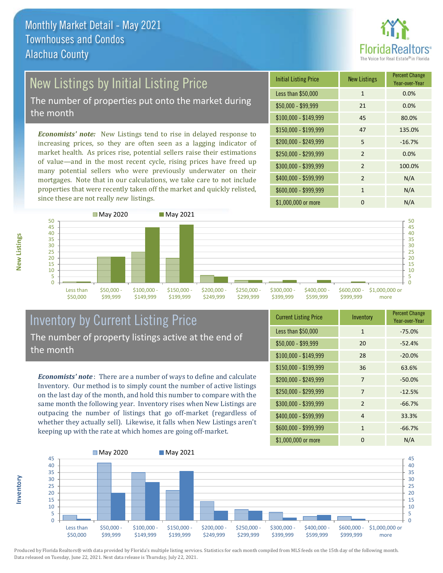

# New Listings by Initial Listing Price

The number of properties put onto the market during the month

*Economists' note:* New Listings tend to rise in delayed response to increasing prices, so they are often seen as a lagging indicator of market health. As prices rise, potential sellers raise their estimations of value—and in the most recent cycle, rising prices have freed up many potential sellers who were previously underwater on their mortgages. Note that in our calculations, we take care to not include properties that were recently taken off the market and quickly relisted, since these are not really *new* listings.

| <b>Initial Listing Price</b> | <b>New Listings</b> | <b>Percent Change</b><br>Year-over-Year |
|------------------------------|---------------------|-----------------------------------------|
| Less than \$50,000           | $\mathbf{1}$        | 0.0%                                    |
| $$50,000 - $99,999$          | 21                  | 0.0%                                    |
| $$100,000 - $149,999$        | 45                  | 80.0%                                   |
| $$150,000 - $199,999$        | 47                  | 135.0%                                  |
| \$200,000 - \$249,999        | 5                   | $-16.7%$                                |
| \$250,000 - \$299,999        | $\mathcal{P}$       | 0.0%                                    |
| \$300,000 - \$399,999        | $\mathfrak{p}$      | 100.0%                                  |
| \$400,000 - \$599,999        | $\overline{2}$      | N/A                                     |
| \$600,000 - \$999,999        | 1                   | N/A                                     |
| \$1,000,000 or more          | 0                   | N/A                                     |



## Inventory by Current Listing Price The number of property listings active at the end of the month

*Economists' note* : There are a number of ways to define and calculate Inventory. Our method is to simply count the number of active listings on the last day of the month, and hold this number to compare with the same month the following year. Inventory rises when New Listings are outpacing the number of listings that go off-market (regardless of whether they actually sell). Likewise, it falls when New Listings aren't keeping up with the rate at which homes are going off-market.

| <b>Current Listing Price</b> | Inventory    | <b>Percent Change</b><br>Year-over-Year |
|------------------------------|--------------|-----------------------------------------|
| Less than \$50,000           | $\mathbf{1}$ | $-75.0%$                                |
| $$50,000 - $99,999$          | 20           | $-52.4%$                                |
| $$100,000 - $149,999$        | 28           | $-20.0%$                                |
| $$150,000 - $199,999$        | 36           | 63.6%                                   |
| \$200,000 - \$249,999        | 7            | $-50.0%$                                |
| \$250,000 - \$299,999        | 7            | $-12.5%$                                |
| \$300,000 - \$399,999        | 2            | $-66.7%$                                |
| \$400,000 - \$599,999        | 4            | 33.3%                                   |
| \$600,000 - \$999,999        | $\mathbf{1}$ | $-66.7%$                                |
| \$1,000,000 or more          | O            | N/A                                     |



Produced by Florida Realtors® with data provided by Florida's multiple listing services. Statistics for each month compiled from MLS feeds on the 15th day of the following month. Data released on Tuesday, June 22, 2021. Next data release is Thursday, July 22, 2021.

**Inventory**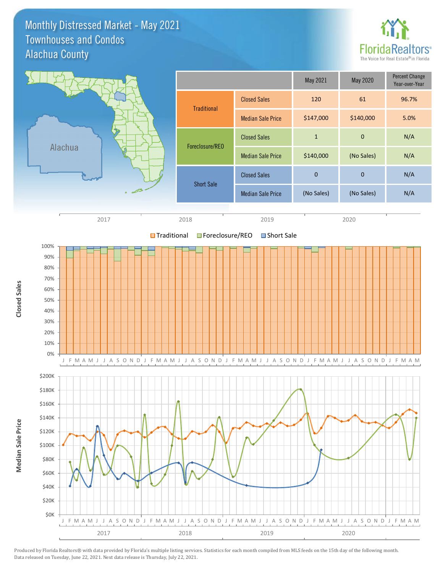Monthly Distressed Market - May 2021 Alachua County Townhouses and Condos



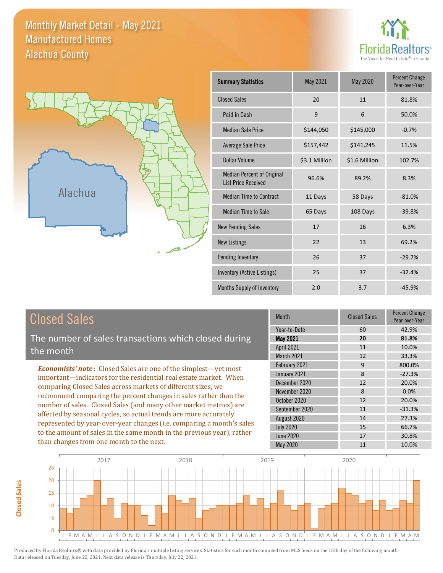Monthly Market Detail - May 2021 Alachua County Manufactured Homes





| <b>Summary Statistics</b>                                | May 2021      | May 2020      | <b>Percent Change</b><br>Year-over-Year |
|----------------------------------------------------------|---------------|---------------|-----------------------------------------|
| <b>Closed Sales</b>                                      | 20            | 11            | 81.8%                                   |
| Paid in Cash                                             | 9             | 6             | 50.0%                                   |
| <b>Median Sale Price</b>                                 | \$144,050     | \$145,000     | $-0.7%$                                 |
| Average Sale Price                                       | \$157,442     | \$141,245     | 11.5%                                   |
| Dollar Volume                                            | \$3.1 Million | \$1.6 Million | 102.7%                                  |
| Median Percent of Original<br><b>List Price Received</b> | 96.6%         | 89.2%         | 8.3%                                    |
| <b>Median Time to Contract</b>                           | 11 Days       | 58 Days       | $-81.0%$                                |
| Median Time to Sale                                      | 65 Days       | 108 Days      | $-39.8%$                                |
| <b>New Pending Sales</b>                                 | 17            | 16            | 6.3%                                    |
| <b>New Listings</b>                                      | 22            | 13            | 69.2%                                   |
| Pending Inventory                                        | 26            | 37            | $-29.7%$                                |
| Inventory (Active Listings)                              | 25            | 37            | $-32.4%$                                |
| Months Supply of Inventory                               | 2.0           | 3.7           | $-45.9%$                                |

The number of sales transactions which closed during the month

*Economists' note* : Closed Sales are one of the simplest—yet most important—indicators for the residential real estate market. When comparing Closed Sales across markets of different sizes, we recommend comparing the percent changes in sales rather than the number of sales. Closed Sales (and many other market metrics) are affected by seasonal cycles, so actual trends are more accurately represented by year-over-year changes (i.e. comparing a month's sales to the amount of sales in the same month in the previous year), rather than changes from one month to the next.

| <b>Month</b>      | <b>Closed Sales</b> | Percent Change<br>Year-over-Year |
|-------------------|---------------------|----------------------------------|
| Year-to-Date      | 60                  | 42.9%                            |
| May 2021          | 20                  | 81.8%                            |
| <b>April 2021</b> | 11                  | 10.0%                            |
| March 2021        | 12                  | 33.3%                            |
| February 2021     | 9                   | 800.0%                           |
| January 2021      | 8                   | $-27.3%$                         |
| December 2020     | 12                  | 20.0%                            |
| November 2020     | 8                   | 0.0%                             |
| October 2020      | 12                  | 20.0%                            |
| September 2020    | 11                  | $-31.3%$                         |
| August 2020       | 14                  | 27.3%                            |
| <b>July 2020</b>  | 15                  | 66.7%                            |
| <b>June 2020</b>  | 17                  | 30.8%                            |
| May 2020          | 11                  | 10.0%                            |

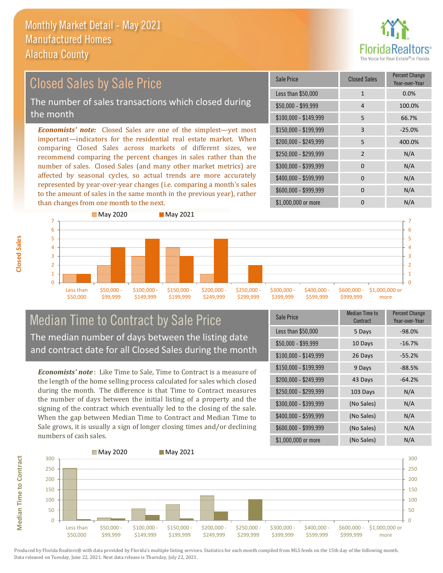than changes from one month to the next.



#### \$100,000 - \$149,999 5 66.7% Sale Price Closed Sales Percent Change Year-over-Year Less than \$50,000 1 1 0.0% \$50,000 - \$99,999 4 100.0% \$150,000 - \$199,999 3 -25.0% \$200,000 - \$249,999 5 400.0%  $$400,000 - $599,999$  0 N/A \$600,000 - \$999,999 0 0 N/A *Economists' note:* Closed Sales are one of the simplest—yet most important—indicators for the residential real estate market. When comparing Closed Sales across markets of different sizes, we recommend comparing the percent changes in sales rather than the number of sales. Closed Sales (and many other market metrics) are affected by seasonal cycles, so actual trends are more accurately represented by year-over-year changes (i.e. comparing a month's sales to the amount of sales in the same month in the previous year), rather \$250,000 - \$299,999 2 N/A \$300,000 - \$399,999 0 0 N/A Closed Sales by Sale Price The number of sales transactions which closed during the month



### Median Time to Contract by Sale Price The median number of days between the listing date and contract date for all Closed Sales during the month

*Economists' note* : Like Time to Sale, Time to Contract is a measure of the length of the home selling process calculated for sales which closed during the month. The difference is that Time to Contract measures the number of days between the initial listing of a property and the signing of the contract which eventually led to the closing of the sale. When the gap between Median Time to Contract and Median Time to Sale grows, it is usually a sign of longer closing times and/or declining numbers of cash sales.

| Sale Price            | <b>Median Time to</b><br>Contract | <b>Percent Change</b><br>Year-over-Year |
|-----------------------|-----------------------------------|-----------------------------------------|
| Less than \$50,000    | 5 Days                            | $-98.0%$                                |
| $$50,000 - $99,999$   | 10 Days                           | $-16.7%$                                |
| $$100,000 - $149,999$ | 26 Days                           | $-55.2%$                                |
| \$150,000 - \$199,999 | 9 Days                            | $-88.5%$                                |
| \$200,000 - \$249,999 | 43 Days                           | $-64.2%$                                |
| \$250,000 - \$299,999 | 103 Days                          | N/A                                     |
| \$300,000 - \$399,999 | (No Sales)                        | N/A                                     |
| \$400,000 - \$599,999 | (No Sales)                        | N/A                                     |
| \$600,000 - \$999,999 | (No Sales)                        | N/A                                     |
| \$1,000,000 or more   | (No Sales)                        | N/A                                     |

\$1,000,000 or more 0 0 N/A



Produced by Florida Realtors® with data provided by Florida's multiple listing services. Statistics for each month compiled from MLS feeds on the 15th day of the following month. Data released on Tuesday, June 22, 2021. Next data release is Thursday, July 22, 2021.

**Median Time to Contract**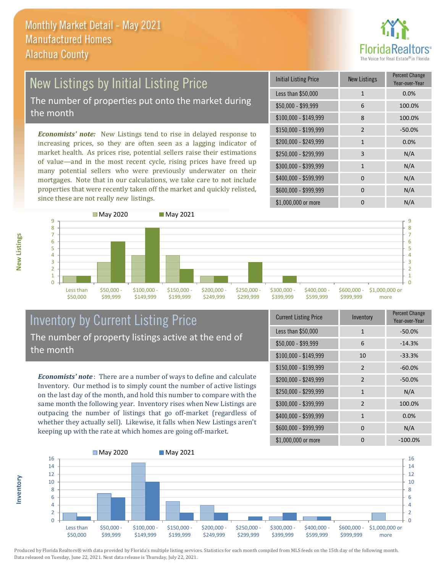

### New Listings by Initial Listing Price The number of properties put onto the market during the month

*Economists' note:* New Listings tend to rise in delayed response to increasing prices, so they are often seen as a lagging indicator of market health. As prices rise, potential sellers raise their estimations of value—and in the most recent cycle, rising prices have freed up many potential sellers who were previously underwater on their mortgages. Note that in our calculations, we take care to not include properties that were recently taken off the market and quickly relisted, since these are not really *new* listings.

| <b>Initial Listing Price</b> | <b>New Listings</b> | <b>Percent Change</b><br>Year-over-Year |
|------------------------------|---------------------|-----------------------------------------|
| Less than \$50,000           | $\mathbf{1}$        | 0.0%                                    |
| \$50,000 - \$99,999          | 6                   | 100.0%                                  |
| $$100,000 - $149,999$        | 8                   | 100.0%                                  |
| \$150,000 - \$199,999        | $\overline{2}$      | $-50.0%$                                |
| \$200,000 - \$249,999        | $\mathbf{1}$        | 0.0%                                    |
| \$250,000 - \$299,999        | 3                   | N/A                                     |
| \$300,000 - \$399,999        | $\mathbf{1}$        | N/A                                     |
| \$400,000 - \$599,999        | 0                   | N/A                                     |
| \$600,000 - \$999,999        | $\Omega$            | N/A                                     |
| \$1,000,000 or more          | 0                   | N/A                                     |



## Inventory by Current Listing Price The number of property listings active at the end of the month

*Economists' note* : There are a number of ways to define and calculate Inventory. Our method is to simply count the number of active listings on the last day of the month, and hold this number to compare with the same month the following year. Inventory rises when New Listings are outpacing the number of listings that go off-market (regardless of whether they actually sell). Likewise, it falls when New Listings aren't keeping up with the rate at which homes are going off-market.

| <b>Current Listing Price</b> | Inventory      | Percent Change<br>Year-over-Year |
|------------------------------|----------------|----------------------------------|
| Less than \$50,000           | $\mathbf{1}$   | $-50.0%$                         |
| $$50,000 - $99,999$          | 6              | $-14.3%$                         |
| $$100,000 - $149,999$        | 10             | $-33.3%$                         |
| $$150,000 - $199,999$        | $\overline{2}$ | $-60.0%$                         |
| \$200,000 - \$249,999        | $\mathfrak{p}$ | $-50.0%$                         |
| \$250,000 - \$299,999        | $\mathbf{1}$   | N/A                              |
| \$300,000 - \$399,999        | $\overline{2}$ | 100.0%                           |
| \$400,000 - \$599,999        | $\mathbf{1}$   | 0.0%                             |
| \$600,000 - \$999,999        | 0              | N/A                              |
| \$1,000,000 or more          | n              | $-100.0\%$                       |



Produced by Florida Realtors® with data provided by Florida's multiple listing services. Statistics for each month compiled from MLS feeds on the 15th day of the following month. Data released on Tuesday, June 22, 2021. Next data release is Thursday, July 22, 2021.

**Inventory**